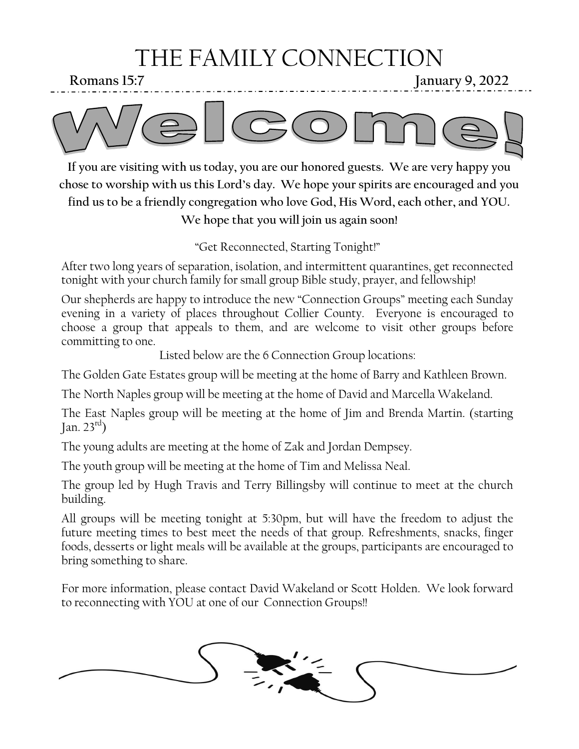# THE FAMILY CONNECTION

**Romans 15:7 January 9, 2022**



**If you are visiting with us today, you are our honored guests. We are very happy you chose to worship with us this Lord's day. We hope your spirits are encouraged and you find us to be a friendly congregation who love God, His Word, each other, and YOU. We hope that you will join us again soon!**

"Get Reconnected, Starting Tonight!"

After two long years of separation, isolation, and intermittent quarantines, get reconnected tonight with your church family for small group Bible study, prayer, and fellowship!

Our shepherds are happy to introduce the new "Connection Groups" meeting each Sunday evening in a variety of places throughout Collier County. Everyone is encouraged to choose a group that appeals to them, and are welcome to visit other groups before committing to one.

Listed below are the 6 Connection Group locations:

The Golden Gate Estates group will be meeting at the home of Barry and Kathleen Brown.

The North Naples group will be meeting at the home of David and Marcella Wakeland.

The East Naples group will be meeting at the home of Jim and Brenda Martin. (starting Jan.  $23<sup>rd</sup>$ )

The young adults are meeting at the home of Zak and Jordan Dempsey.

The youth group will be meeting at the home of Tim and Melissa Neal.

The group led by Hugh Travis and Terry Billingsby will continue to meet at the church building.

All groups will be meeting tonight at 5:30pm, but will have the freedom to adjust the future meeting times to best meet the needs of that group. Refreshments, snacks, finger foods, desserts or light meals will be available at the groups, participants are encouraged to bring something to share.

For more information, please contact David Wakeland or Scott Holden. We look forward to reconnecting with YOU at one of our Connection Groups!!

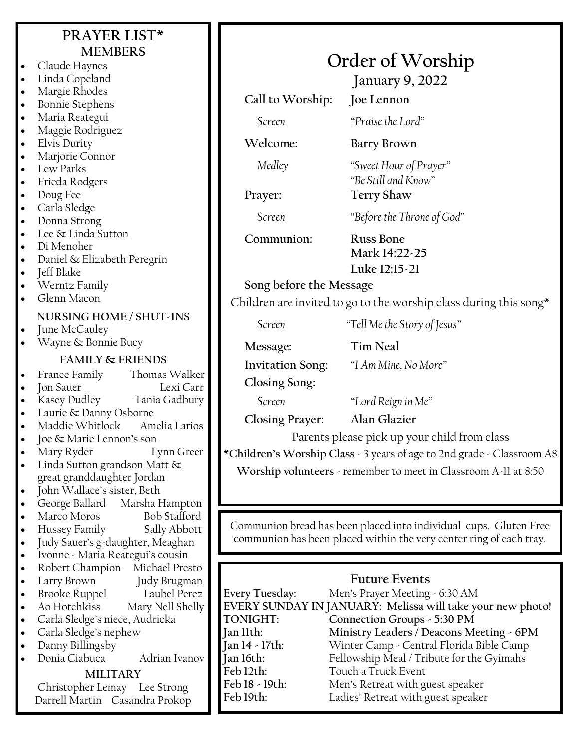### **PRAYER LIST\* MEMBERS**

- Claude Haynes Linda Copeland • Margie Rhodes • Bonnie Stephens • Maria Reategui • Maggie Rodriguez • Elvis Durity Marjorie Connor Lew Parks • Frieda Rodgers • Doug Fee • Carla Sledge • Donna Strong Lee & Linda Sutton • Di Menoher Daniel & Elizabeth Peregrin • Jeff Blake • Werntz Family • Glenn Macon **NURSING HOME / SHUT-INS** June McCauley • Wayne & Bonnie Bucy **FAMILY & FRIENDS** • France Family Thomas Walker • Jon Sauer Lexi Carr • Kasey Dudley Tania Gadbury • Laurie & Danny Osborne • Maddie Whitlock Amelia Larios • Joe & Marie Lennon's son • Mary Ryder Lynn Greer Linda Sutton grandson Matt & great granddaughter Jordan John Wallace's sister, Beth • George Ballard Marsha Hampton Marco Moros Bob Stafford • Hussey Family Sally Abbott • Judy Sauer's g-daughter, Meaghan
- Ivonne Maria Reategui's cousin • Robert Champion Michael Presto
- Larry Brown Judy Brugman
- 
- Brooke Ruppel Laubel Perez Mary Nell Shelly
- Carla Sledge's niece, Audricka
- Carla Sledge's nephew
- Danny Billingsby
- Donia Ciabuca Adrian Ivanov

#### **MILITARY**

Christopher Lemay Lee Strong Darrell Martin Casandra Prokop

## **Order of Worship**

**January 9, 2022**

**Call to Worship: Joe Lennon** *Screen "Praise the Lord"*

**Welcome: Barry Brown**

*Medley "Sweet Hour of Prayer"*

**Prayer: Terry Shaw**

*Screen "Before the Throne of God"*

*"Be Still and Know"*

**Communion: Russ Bone**

**Mark 14:22-25 Luke 12:15-21**

**Song before the Message**

Children are invited to go to the worship class during this song $*$ 

*Screen "Tell Me the Story of Jesus"*

**Message: Tim Neal**

**Invitation Song:** *"I Am Mine, No More"*

**Closing Song:**

*Screen "Lord Reign in Me"*

**Closing Prayer: Alan Glazier**

Parents please pick up your child from class

**\*Children's Worship Class** - 3 years of age to 2nd grade - Classroom A8 **Worship volunteers** - remember to meet in Classroom A-11 at 8:50

Communion bread has been placed into individual cups. Gluten Free communion has been placed within the very center ring of each tray.

### **Future Events**

**Every Tuesday:** Men's Prayer Meeting - 6:30 AM **EVERY SUNDAY IN JANUARY: Melissa will take your new photo! TONIGHT: Connection Groups - 5:30 PM Jan 11th: Ministry Leaders / Deacons Meeting - 6PM Jan 14 - 17th:** Winter Camp - Central Florida Bible Camp Fellowship Meal / Tribute for the Gyimahs **Feb 12th:** Touch a Truck Event **Feb 18 - 19th:** Men's Retreat with guest speaker **Feb 19th:** Ladies' Retreat with guest speaker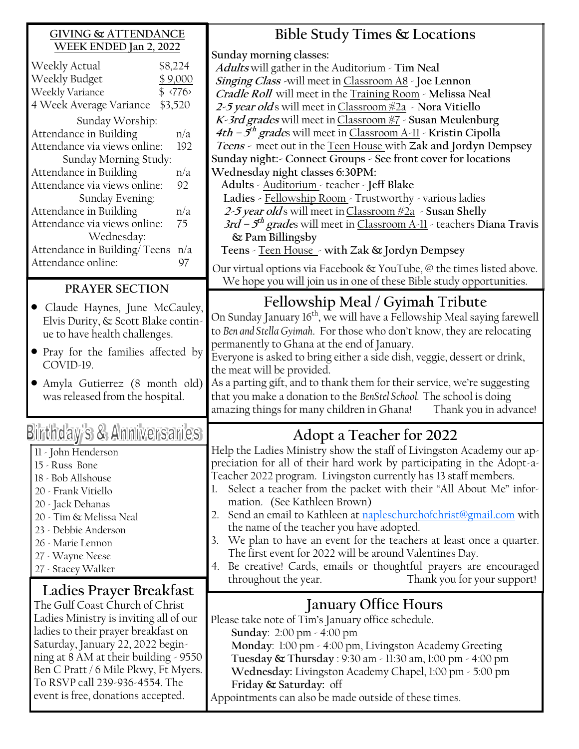| <b>GIVING &amp; ATTENDANCE</b>                                       | Bible Study Times & Locations                                                                                             |  |  |  |
|----------------------------------------------------------------------|---------------------------------------------------------------------------------------------------------------------------|--|--|--|
| WEEK ENDED Jan 2, 2022                                               | Sunday morning classes:                                                                                                   |  |  |  |
| Weekly Actual<br>\$8,224                                             | Adults will gather in the Auditorium - Tim Neal                                                                           |  |  |  |
| Weekly Budget<br>\$9,000                                             | Singing Class -will meet in Classroom A8 - Joe Lennon                                                                     |  |  |  |
| \$ 776<br>Weekly Variance                                            | Cradle Roll will meet in the Training Room - Melissa Neal                                                                 |  |  |  |
| 4 Week Average Variance \$3,520                                      | 2-5 year olds will meet in Classroom #2a > Nora Vitiello                                                                  |  |  |  |
| Sunday Worship:                                                      | K-3rd grades will meet in Classroom #7 - Susan Meulenburg                                                                 |  |  |  |
| Attendance in Building<br>n/a                                        | 4th – $5th$ grades will meet in Classroom A-11 - Kristin Cipolla                                                          |  |  |  |
| Attendance via views online:<br>192                                  | Teens - meet out in the Teen House with Zak and Jordyn Dempsey                                                            |  |  |  |
| Sunday Morning Study:                                                | Sunday night: - Connect Groups - See front cover for locations                                                            |  |  |  |
| Attendance in Building<br>n/a                                        | Wednesday night classes 6:30PM:                                                                                           |  |  |  |
| Attendance via views online:<br>92                                   | Adults - Auditorium - teacher - Jeff Blake                                                                                |  |  |  |
| Sunday Evening:                                                      | Ladies - Fellowship Room - Trustworthy - various ladies                                                                   |  |  |  |
| Attendance in Building<br>n/a                                        | 2-5 year olds will meet in Classroom #2a - Susan Shelly                                                                   |  |  |  |
| Attendance via views online:<br>75                                   | $3rd - 5th$ grades will meet in Classroom A-11 - teachers Diana Travis                                                    |  |  |  |
| Wednesday:                                                           | & Pam Billingsby                                                                                                          |  |  |  |
| Attendance in Building/Teens n/a                                     | Teens - Teen House - with Zak & Jordyn Dempsey                                                                            |  |  |  |
| Attendance online:<br>97                                             | Our virtual options via Facebook $\&$ YouTube, $\&$ the times listed above.                                               |  |  |  |
|                                                                      | We hope you will join us in one of these Bible study opportunities.                                                       |  |  |  |
| PRAYER SECTION                                                       |                                                                                                                           |  |  |  |
| Claude Haynes, June McCauley,                                        | Fellowship Meal / Gyimah Tribute                                                                                          |  |  |  |
| Elvis Durity, & Scott Blake contin-                                  | On Sunday January 16 <sup>th</sup> , we will have a Fellowship Meal saying farewell                                       |  |  |  |
| ue to have health challenges.                                        | to Ben and Stella Gyimah. For those who don't know, they are relocating                                                   |  |  |  |
|                                                                      | permanently to Ghana at the end of January.                                                                               |  |  |  |
| • Pray for the families affected by                                  | Everyone is asked to bring either a side dish, veggie, dessert or drink,                                                  |  |  |  |
|                                                                      |                                                                                                                           |  |  |  |
| COVID-19.                                                            | the meat will be provided.                                                                                                |  |  |  |
| • Amyla Gutierrez (8 month old)                                      | As a parting gift, and to thank them for their service, we're suggesting                                                  |  |  |  |
| was released from the hospital.                                      | that you make a donation to the BenStel School. The school is doing                                                       |  |  |  |
|                                                                      | amazing things for many children in Ghana!<br>Thank you in advance!                                                       |  |  |  |
|                                                                      |                                                                                                                           |  |  |  |
| Birthday's & Anniversaries                                           | Adopt a Teacher for 2022                                                                                                  |  |  |  |
| 11 - John Henderson                                                  | Help the Ladies Ministry show the staff of Livingston Academy our ap-                                                     |  |  |  |
| 15 - Russ Bone                                                       | preciation for all of their hard work by participating in the Adopt-a-                                                    |  |  |  |
| 18 - Bob Allshouse                                                   | Teacher 2022 program. Livingston currently has 13 staff members.                                                          |  |  |  |
| 20 - Frank Vitiello                                                  | Select a teacher from the packet with their "All About Me" infor-                                                         |  |  |  |
| 20 - Jack Dehanas                                                    | mation. (See Kathleen Brown)                                                                                              |  |  |  |
| 20 - Tim & Melissa Neal                                              | Send an email to Kathleen at <b>napleschurchofchrist@gmail.com</b> with<br>2.                                             |  |  |  |
| 23 - Debbie Anderson                                                 | the name of the teacher you have adopted.                                                                                 |  |  |  |
| 26 - Marie Lennon                                                    | We plan to have an event for the teachers at least once a quarter.<br>3.                                                  |  |  |  |
| 27 - Wayne Neese                                                     | The first event for 2022 will be around Valentines Day.                                                                   |  |  |  |
| 27 - Stacey Walker                                                   | 4. Be creative! Cards, emails or thoughtful prayers are encouraged<br>Thank you for your support!<br>throughout the year. |  |  |  |
| Ladies Prayer Breakfast                                              |                                                                                                                           |  |  |  |
| The Gulf Coast Church of Christ                                      | <b>January Office Hours</b>                                                                                               |  |  |  |
| Ladies Ministry is inviting all of our                               | Please take note of Tim's January office schedule.                                                                        |  |  |  |
| ladies to their prayer breakfast on                                  | Sunday: 2:00 pm - 4:00 pm                                                                                                 |  |  |  |
| Saturday, January 22, 2022 begin-                                    | Monday: 1:00 pm - 4:00 pm, Livingston Academy Greeting                                                                    |  |  |  |
| ning at 8 AM at their building $\sim$ 9550                           | Tuesday & Thursday : 9:30 am - 11:30 am, 1:00 pm - 4:00 pm                                                                |  |  |  |
| Ben C Pratt / 6 Mile Pkwy, Ft Myers.                                 | Wednesday: Livingston Academy Chapel, 1:00 pm - 5:00 pm                                                                   |  |  |  |
| To RSVP call 239-936-4554. The<br>event is free, donations accepted. | Friday & Saturday: off                                                                                                    |  |  |  |